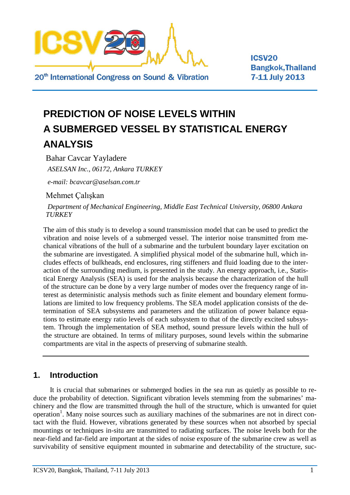

**ICSV20 Bangkok, Thailand** 7-11 July 2013

# **PREDICTION OF NOISE LEVELS WITHIN A SUBMERGED VESSEL BY STATISTICAL ENERGY ANALYSIS**

Bahar Cavcar Yayladere *ASELSAN Inc., 06172, Ankara TURKEY*

*e-mail: bcavcar@aselsan.com.tr*

Mehmet Çalışkan

*Department of Mechanical Engineering, Middle East Technical University, 06800 Ankara TURKEY*

The aim of this study is to develop a sound transmission model that can be used to predict the vibration and noise levels of a submerged vessel. The interior noise transmitted from mechanical vibrations of the hull of a submarine and the turbulent boundary layer excitation on the submarine are investigated. A simplified physical model of the submarine hull, which includes effects of bulkheads, end enclosures, ring stiffeners and fluid loading due to the interaction of the surrounding medium, is presented in the study. An energy approach, i.e., Statistical Energy Analysis (SEA) is used for the analysis because the characterization of the hull of the structure can be done by a very large number of modes over the frequency range of interest as deterministic analysis methods such as finite element and boundary element formulations are limited to low frequency problems. The SEA model application consists of the determination of SEA subsystems and parameters and the utilization of power balance equations to estimate energy ratio levels of each subsystem to that of the directly excited subsystem. Through the implementation of SEA method, sound pressure levels within the hull of the structure are obtained. In terms of military purposes, sound levels within the submarine compartments are vital in the aspects of preserving of submarine stealth.

## **1. Introduction**

It is crucial that submarines or submerged bodies in the sea run as quietly as possible to reduce the probability of detection. Significant vibration levels stemming from the submarines' machinery and the flow are transmitted through the hull of the structure, which is unwanted for quiet operation<sup>1</sup>. Many noise sources such as auxiliary machines of the submarines are not in direct contact with the fluid. However, vibrations generated by these sources when not absorbed by special mountings or techniques in-situ are transmitted to radiating surfaces. The noise levels both for the near-field and far-field are important at the sides of noise exposure of the submarine crew as well as survivability of sensitive equipment mounted in submarine and detectability of the structure, suc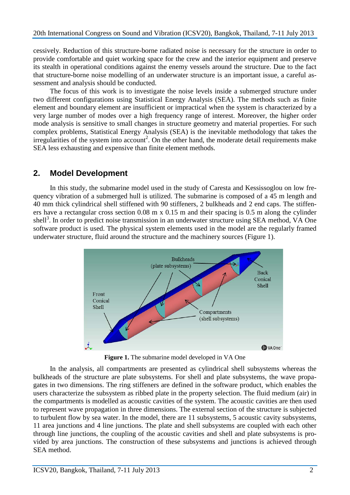cessively. Reduction of this structure-borne radiated noise is necessary for the structure in order to provide comfortable and quiet working space for the crew and the interior equipment and preserve its stealth in operational conditions against the enemy vessels around the structure. Due to the fact that structure-borne noise modelling of an underwater structure is an important issue, a careful assessment and analysis should be conducted.

The focus of this work is to investigate the noise levels inside a submerged structure under two different configurations using Statistical Energy Analysis (SEA). The methods such as finite element and boundary element are insufficient or impractical when the system is characterized by a very large number of modes over a high frequency range of interest. Moreover, the higher order mode analysis is sensitive to small changes in structure geometry and material properties. For such complex problems, Statistical Energy Analysis (SEA) is the inevitable methodology that takes the irregularities of the system into account<sup>2</sup>. On the other hand, the moderate detail requirements make SEA less exhausting and expensive than finite element methods.

## **2. Model Development**

In this study, the submarine model used in the study of Caresta and Kessissoglou on low frequency vibration of a submerged hull is utilized. The submarine is composed of a 45 m length and 40 mm thick cylindrical shell stiffened with 90 stiffeners, 2 bulkheads and 2 end caps. The stiffeners have a rectangular cross section 0.08 m x 0.15 m and their spacing is 0.5 m along the cylinder shell<sup>3</sup>. In order to predict noise transmission in an underwater structure using SEA method, VA One software product is used. The physical system elements used in the model are the regularly framed underwater structure, fluid around the structure and the machinery sources [\(Figure 1\)](#page-1-0).



**Figure 1.** The submarine model developed in VA One

<span id="page-1-0"></span>In the analysis, all compartments are presented as cylindrical shell subsystems whereas the bulkheads of the structure are plate subsystems. For shell and plate subsystems, the wave propagates in two dimensions. The ring stiffeners are defined in the software product, which enables the users characterize the subsystem as ribbed plate in the property selection. The fluid medium (air) in the compartments is modelled as acoustic cavities of the system. The acoustic cavities are then used to represent wave propagation in three dimensions. The external section of the structure is subjected to turbulent flow by sea water. In the model, there are 11 subsystems, 5 acoustic cavity subsystems, 11 area junctions and 4 line junctions. The plate and shell subsystems are coupled with each other through line junctions, the coupling of the acoustic cavities and shell and plate subsystems is provided by area junctions. The construction of these subsystems and junctions is achieved through SEA method.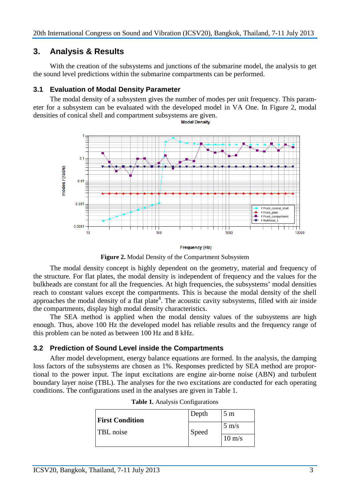## **3. Analysis & Results**

With the creation of the subsystems and junctions of the submarine model, the analysis to get the sound level predictions within the submarine compartments can be performed.

#### **3.1 Evaluation of Modal Density Parameter**

The modal density of a subsystem gives the number of modes per unit frequency. This parameter for a subsystem can be evaluated with the developed model in VA One. In [Figure 2,](#page-2-0) modal densities of conical shell and compartment subsystems are given.



**Frequency (Hz)** 

**Figure 2.** Modal Density of the Compartment Subsystem

<span id="page-2-0"></span>The modal density concept is highly dependent on the geometry, material and frequency of the structure. For flat plates, the modal density is independent of frequency and the values for the bulkheads are constant for all the frequencies. At high frequencies, the subsystems' modal densities reach to constant values except the compartments. This is because the modal density of the shell approaches the modal density of a flat plate<sup>4</sup>. The acoustic cavity subsystems, filled with air inside the compartments, display high modal density characteristics.

The SEA method is applied when the modal density values of the subsystems are high enough. Thus, above 100 Hz the developed model has reliable results and the frequency range of this problem can be noted as between 100 Hz and 8 kHz.

### **3.2 Prediction of Sound Level inside the Compartments**

<span id="page-2-1"></span>After model development, energy balance equations are formed. In the analysis, the damping loss factors of the subsystems are chosen as 1%. Responses predicted by SEA method are proportional to the power input. The input excitations are engine air-borne noise (ABN) and turbulent boundary layer noise (TBL). The analyses for the two excitations are conducted for each operating conditions. The configurations used in the analyses are given in [Table 1.](#page-2-1)

| <b>First Condition</b> | Depth | 5 <sub>m</sub>   |
|------------------------|-------|------------------|
| TBL noise              | Speed | $5 \text{ m/s}$  |
|                        |       | $10 \text{ m/s}$ |

|  |  | Table 1. Analysis Configurations |  |
|--|--|----------------------------------|--|
|--|--|----------------------------------|--|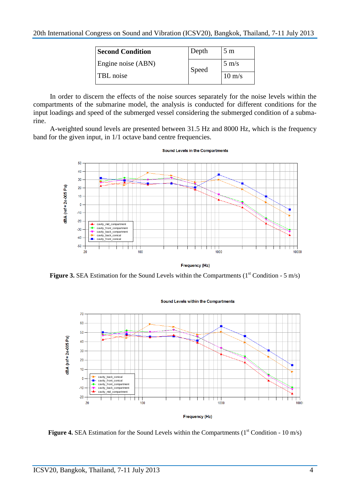| <b>Second Condition</b> | Depth | 5 <sub>m</sub>   |
|-------------------------|-------|------------------|
| Engine noise (ABN)      | Speed | $5 \text{ m/s}$  |
| TBL noise               |       | $10 \text{ m/s}$ |

In order to discern the effects of the noise sources separately for the noise levels within the compartments of the submarine model, the analysis is conducted for different conditions for the input loadings and speed of the submerged vessel considering the submerged condition of a submarine.

A-weighted sound levels are presented between 31.5 Hz and 8000 Hz, which is the frequency band for the given input, in 1/1 octave band centre frequencies.



Figure 3. SEA Estimation for the Sound Levels within the Compartments (1<sup>st</sup> Condition - 5 m/s)



**Figure 4.** SEA Estimation for the Sound Levels within the Compartments (1<sup>st</sup> Condition - 10 m/s)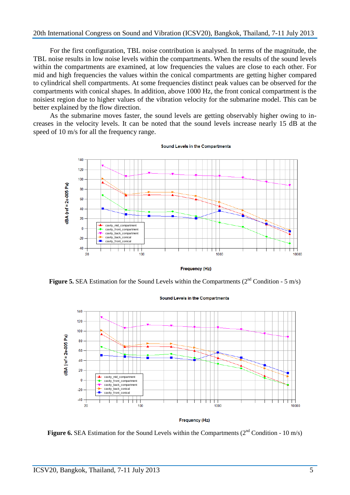#### 20th International Congress on Sound and Vibration (ICSV20), Bangkok, Thailand, 7-11 July 2013

For the first configuration, TBL noise contribution is analysed. In terms of the magnitude, the TBL noise results in low noise levels within the compartments. When the results of the sound levels within the compartments are examined, at low frequencies the values are close to each other. For mid and high frequencies the values within the conical compartments are getting higher compared to cylindrical shell compartments. At some frequencies distinct peak values can be observed for the compartments with conical shapes. In addition, above 1000 Hz, the front conical compartment is the noisiest region due to higher values of the vibration velocity for the submarine model. This can be better explained by the flow direction.

As the submarine moves faster, the sound levels are getting observably higher owing to increases in the velocity levels. It can be noted that the sound levels increase nearly 15 dB at the speed of 10 m/s for all the frequency range.



**Sound Levels in the Compartments** 

**Frequency (Hz)** 

**Figure 5.** SEA Estimation for the Sound Levels within the Compartments  $(2^{nd}$  Condition - 5 m/s)



**Sound Levels in the Compartments** 

Figure 6. SEA Estimation for the Sound Levels within the Compartments (2<sup>nd</sup> Condition - 10 m/s)